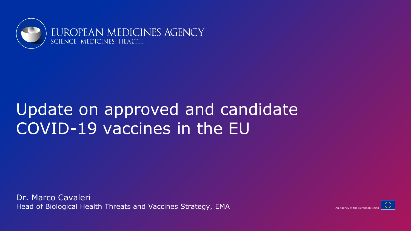

# Update on approved and candidate COVID-19 vaccines in the EU

Dr. Marco Cavaleri Head of Biological Health Threats and Vaccines Strategy, EMA



An agency of the European Ur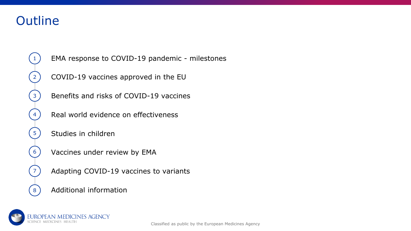### **Outline**



EMA response to COVID-19 pandemic - milestones

COVID-19 vaccines approved in the EU

Benefits and risks of COVID-19 vaccines

Real world evidence on effectiveness

Studies in children

Vaccines under review by EMA

Adapting COVID-19 vaccines to variants

Additional information

**ROPEAN MEDICINES AGENCY**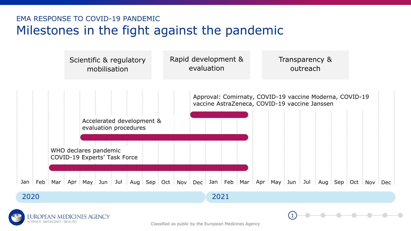### EMA RESPONSE TO COVID-19 PANDEMIC Milestones in the fight against the pandemic





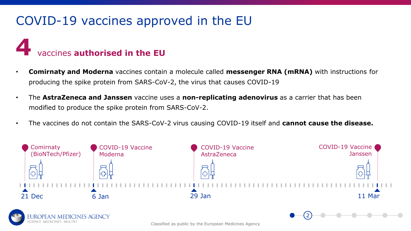# COVID-19 vaccines approved in the EU

# **4** vaccines **authorised in the EU**

ES AGENCY

- **Comirnaty and Moderna** vaccines contain a molecule called **messenger RNA (mRNA)** with instructions for producing the spike protein from SARS-CoV-2, the virus that causes COVID-19
- The **AstraZeneca and Janssen** vaccine uses a **non-replicating adenovirus** as a carrier that has been modified to produce the spike protein from SARS-CoV-2.
- The vaccines do not contain the SARS-CoV-2 virus causing COVID-19 itself and **cannot cause the disease.**



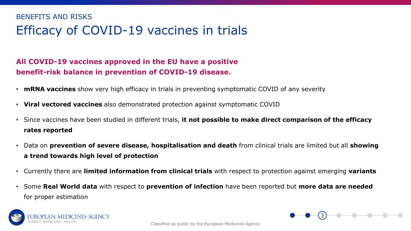### Efficacy of COVID-19 vaccines in trials BENEFITS AND RISKS

#### **All COVID-19 vaccines approved in the EU have a positive benefit-risk balance in prevention of COVID-19 disease.**

- **mRNA vaccines** show very high efficacy in trials in preventing symptomatic COVID of any severity
- **Viral vectored vaccines** also demonstrated protection against symptomatic COVID
- Since vaccines have been studied in different trials, **it not possible to make direct comparison of the efficacy rates reported**
- Data on **prevention of severe disease, hospitalisation and death** from clinical trials are limited but all **showing a trend towards high level of protection**
- Currently there are **limited information from clinical trials** with respect to protection against emerging **variants**
- Some **Real World data** with respect to **prevention of infection** have been reported but **more data are needed** for proper estimation



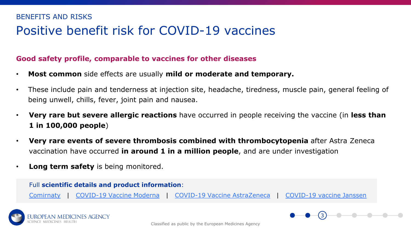### Positive benefit risk for COVID-19 vaccines BENEFITS AND RISKS

#### **Good safety profile, comparable to vaccines for other diseases**

- **Most common** side effects are usually **mild or moderate and temporary.**
- These include pain and tenderness at injection site, headache, tiredness, muscle pain, general feeling of being unwell, chills, fever, joint pain and nausea.
- **Very rare but severe allergic reactions** have occurred in people receiving the vaccine (in **less than 1 in 100,000 people**)
- **Very rare events of severe thrombosis combined with thrombocytopenia** after Astra Zeneca vaccination have occurred **in around 1 in a million people**, and are under investigation
- **Long term safety** is being monitored.

## Full **scientific details and product information**: [Comirnaty](https://www.ema.europa.eu/en/medicines/human/EPAR/comirnaty) | [COVID-19 Vaccine Moderna](https://www.ema.europa.eu/en/medicines/human/summaries-opinion/covid-19-vaccine-moderna) | [COVID-19 Vaccine](https://www.ema.europa.eu/en/medicines/human/summaries-opinion/covid-19-vaccine-astrazeneca) AstraZeneca | [COVID-19 vaccine Janssen](https://www.ema.europa.eu/en/news/ema-recommends-covid-19-vaccine-janssen-authorisation-eu)



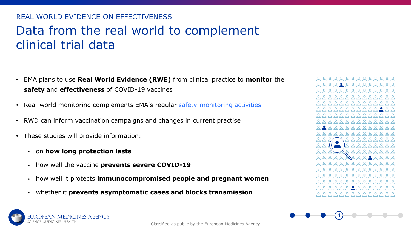### Data from the real world to complement clinical trial data REAL WORLD EVIDENCE ON EFFECTIVENESS

- EMA plans to use **Real World Evidence (RWE)** from clinical practice to **monitor** the **safety** and **effectiveness** of COVID-19 vaccines
- Real-world monitoring complements EMA's regular [safety-monitoring activities](https://www.ema.europa.eu/en/human-regulatory/overview/pharmacovigilance-overview)
- RWD can inform vaccination campaigns and changes in current practise
- These studies will provide information:
	- on **how long protection lasts**
	- how well the vaccine **prevents severe COVID-19**
	- how well it protects **immunocompromised people and pregnant women**
	- whether it **prevents asymptomatic cases and blocks transmission**





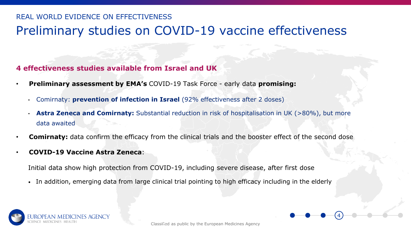### Preliminary studies on COVID-19 vaccine effectiveness REAL WORLD EVIDENCE ON EFFECTIVENESS

#### **4 effectiveness studies available from Israel and UK**

- **Preliminary assessment by EMA's** COVID-19 Task Force early data **promising:**
	- Comirnaty: **prevention of infection in Israel** (92% effectiveness after 2 doses)
	- **Astra Zeneca and Comirnaty:** Substantial reduction in risk of hospitalisation in UK (>80%), but more data awaited
- **Comirnaty:** data confirm the efficacy from the clinical trials and the booster effect of the second dose
- **COVID-19 Vaccine Astra Zeneca**:

Initial data show high protection from COVID-19, including severe disease, after first dose

• In addition, emerging data from large clinical trial pointing to high efficacy including in the elderly

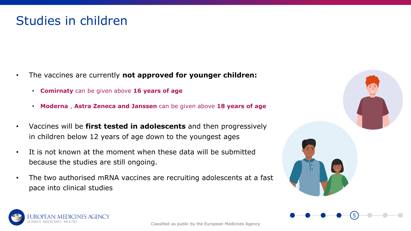- The vaccines are currently **not approved for younger children:** 
	- **Comirnaty** can be given above **16 years of age**
	- **Moderna** , **Astra Zeneca and Janssen** can be given above **18 years of age**
- Vaccines will be **first tested in adolescents** and then progressively in children below 12 years of age down to the youngest ages
- It is not known at the moment when these data will be submitted because the studies are still ongoing.
- The two authorised mRNA vaccines are recruiting adolescents at a fast pace into clinical studies



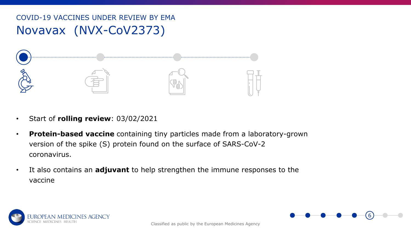### Novavax (NVX-CoV2373) COVID-19 VACCINES UNDER REVIEW BY EMA



- Start of **rolling review**: 03/02/2021
- **Protein-based vaccine** containing tiny particles made from a laboratory-grown version of the spike (S) protein found on the surface of SARS-CoV-2 coronavirus.
- It also contains an **adjuvant** to help strengthen the immune responses to the vaccine



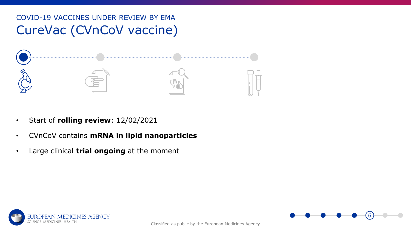### CureVac (CVnCoV vaccine) COVID-19 VACCINES UNDER REVIEW BY EMA



- Start of **rolling review**: 12/02/2021
- CVnCoV contains **mRNA in lipid nanoparticles**
- Large clinical **trial ongoing** at the moment



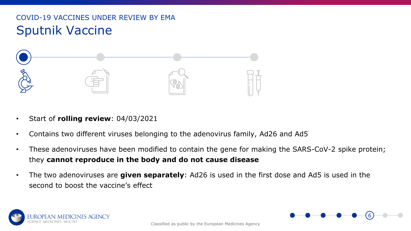### Sputnik Vaccine COVID-19 VACCINES UNDER REVIEW BY EMA



- Start of **rolling review**: 04/03/2021
- Contains two different viruses belonging to the adenovirus family, Ad26 and Ad5
- These adenoviruses have been modified to contain the gene for making the SARS-CoV-2 spike protein; they **cannot reproduce in the body and do not cause disease**
- The two adenoviruses are **given separately**: Ad26 is used in the first dose and Ad5 is used in the second to boost the vaccine's effect

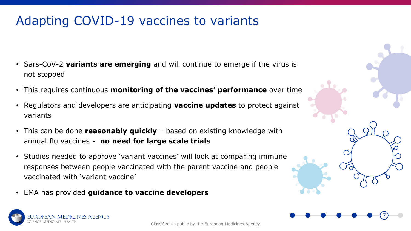# Adapting COVID-19 vaccines to variants

- Sars-CoV-2 **variants are emerging** and will continue to emerge if the virus is not stopped
- This requires continuous **monitoring of the vaccines' performance** over time
- Regulators and developers are anticipating **vaccine updates** to protect against variants
- This can be done **reasonably quickly**  based on existing knowledge with annual flu vaccines - **no need for large scale trials**
- Studies needed to approve 'variant vaccines' will look at comparing immune responses between people vaccinated with the parent vaccine and people vaccinated with 'variant vaccine'
- EMA has provided **guidance to vaccine developers**

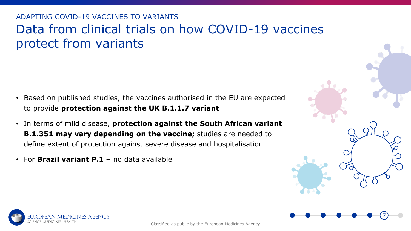### Data from clinical trials on how COVID-19 vaccines protect from variants ADAPTING COVID-19 VACCINES TO VARIANTS

- Based on published studies, the vaccines authorised in the EU are expected to provide **protection against the UK B.1.1.7 variant**
- In terms of mild disease, **protection against the South African variant B.1.351 may vary depending on the vaccine;** studies are needed to define extent of protection against severe disease and hospitalisation
- For **Brazil variant P.1 –** no data available



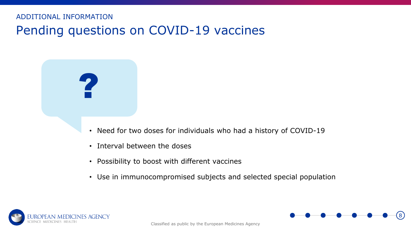Pending questions on COVID-19 vaccines ADDITIONAL INFORMATION

#### • Need for two doses for individuals who had a history of COVID-19

- Interval between the doses
- Possibility to boost with different vaccines
- Use in immunocompromised subjects and selected special population



?

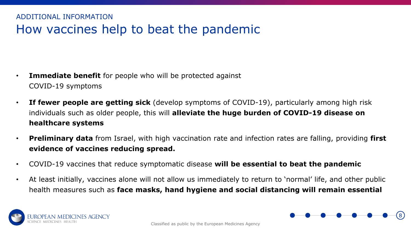### How vaccines help to beat the pandemic ADDITIONAL INFORMATION

- **Immediate benefit** for people who will be protected against COVID-19 symptoms
- **If fewer people are getting sick** (develop symptoms of COVID-19), particularly among high risk individuals such as older people, this will **alleviate the huge burden of COVID-19 disease on healthcare systems**
- **Preliminary data** from Israel, with high vaccination rate and infection rates are falling, providing **first evidence of vaccines reducing spread.**
- COVID-19 vaccines that reduce symptomatic disease **will be essential to beat the pandemic**
- At least initially, vaccines alone will not allow us immediately to return to 'normal' life, and other public health measures such as **face masks, hand hygiene and social distancing will remain essential**



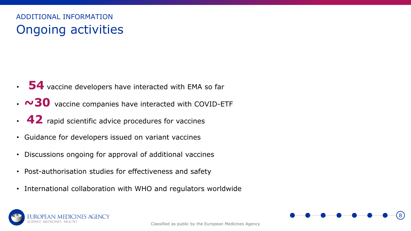### Ongoing activities ADDITIONAL INFORMATION

- **54** vaccine developers have interacted with EMA so far
- **~30** vaccine companies have interacted with COVID-ETF
- 42 rapid scientific advice procedures for vaccines
- Guidance for developers issued on variant vaccines
- Discussions ongoing for approval of additional vaccines
- Post-authorisation studies for effectiveness and safety
- International collaboration with WHO and regulators worldwide